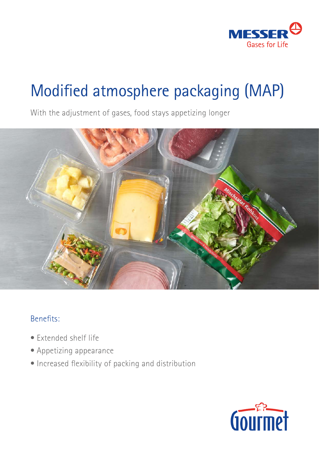

# Modified atmosphere packaging (MAP)

With the adjustment of gases, food stays appetizing longer



## Benefits:

- Extended shelf life
- Appetizing appearance
- Increased flexibility of packing and distribution